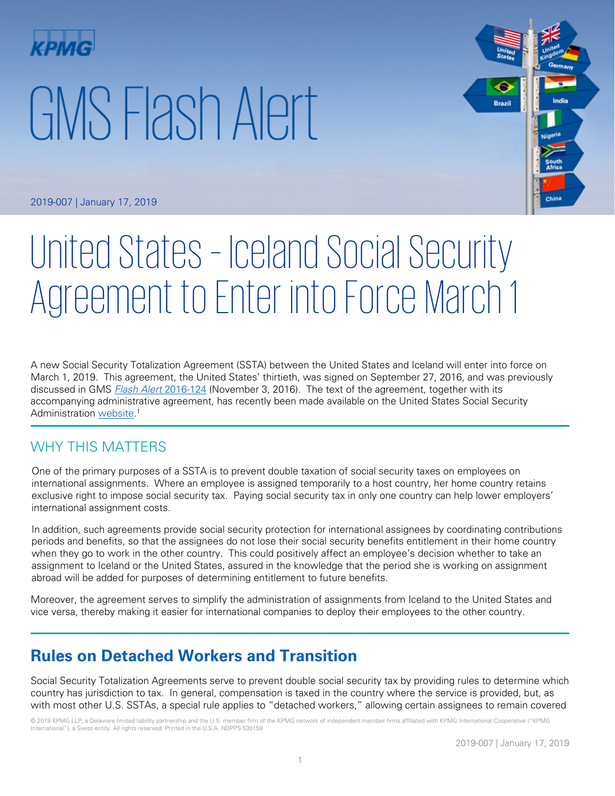# GMS Flash Alert



2019-007 | January 17, 2019

## United States – Iceland Social Security Agreement to Enter into Force March 1

A new Social Security Totalization Agreement (SSTA) between the United States and Iceland will enter into force on March 1, 2019. This agreement, the United States' thirtieth, was signed on September 27, 2016, and was previously discussed in GMS [Flash Alert](https://home.kpmg/xx/en/home/insights/2016/11/flash-alert-2016-124.html) 2016-124 (November 3, 2016). The text of the agreement, together with its accompanying administrative agreement, has recently been made available on the United States Social Security Administration <u>website</u>.<sup>1</sup>

#### WHY THIS MATTERS

One of the primary purposes of a SSTA is to prevent double taxation of social security taxes on employees on international assignments. Where an employee is assigned temporarily to a host country, her home country retains exclusive right to impose social security tax. Paying social security tax in only one country can help lower employers' international assignment costs.

In addition, such agreements provide social security protection for international assignees by coordinating contributions periods and benefits, so that the assignees do not lose their social security benefits entitlement in their home country when they go to work in the other country. This could positively affect an employee's decision whether to take an assignment to Iceland or the United States, assured in the knowledge that the period she is working on assignment abroad will be added for purposes of determining entitlement to future benefits.

Moreover, the agreement serves to simplify the administration of assignments from Iceland to the United States and vice versa, thereby making it easier for international companies to deploy their employees to the other country.

### **Rules on Detached Workers and Transition**

Social Security Totalization Agreements serve to prevent double social security tax by providing rules to determine which country has jurisdiction to tax. In general, compensation is taxed in the country where the service is provided, but, as with most other U.S. SSTAs, a special rule applies to "detached workers," allowing certain assignees to remain covered

© 2019 KPMG LLP, a Delaware limited liability partnership and the U.S. member firm of the KPMG network of independent member firms affiliated with KPMG International Cooperative ("KPMG International"), a Swiss entity. All rights reserved. Printed in the U.S.A. NDPPS 530159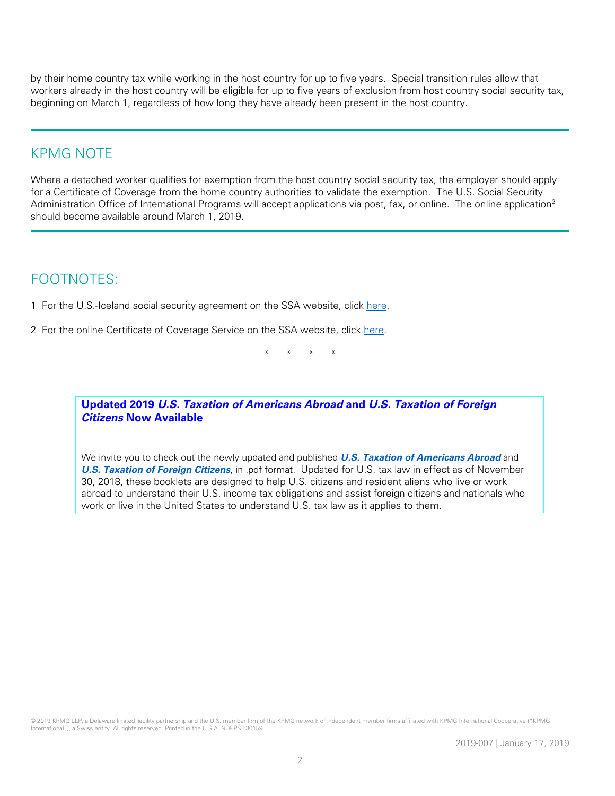by their home country tax while working in the host country for up to five years. Special transition rules allow that workers already in the host country will be eligible for up to five years of exclusion from host country social security tax, beginning on March 1, regardless of how long they have already been present in the host country.

#### KPMG NOTE

Where a detached worker qualifies for exemption from the host country social security tax, the employer should apply for a Certificate of Coverage from the home country authorities to validate the exemption. The U.S. Social Security Administration Office of International Programs will accept applications via post, fax, or online. The online application<sup>2</sup> should become available around March 1, 2019.

#### FOOTNOTES:

1 For the U.S.-Iceland social security agreement on the SSA website, click [here.](https://www.ssa.gov/international/Agreement_Texts/iceland.html)

2 For the online Certificate of Coverage Service on the SSA website, click [here.](https://www.ssa.gov/international/CoC_link.html)

\* \* \* \*

**Updated 2019 U.S. Taxation of Americans Abroad and U.S. Taxation of Foreign Citizens Now Available**

We invite you to check out the newly updated and published **[U.S. Taxation of Americans Abroad](https://tax.kpmg.us/content/dam/tax/en/pdfs/2019/2019-us-taxation-of-americans-abroad.pdf)** and **[U.S. Taxation of Foreign Citizens](https://tax.kpmg.us/content/dam/tax/en/pdfs/2019/2019-us-taxation-of-foreign-citizens.pdf)**, in .pdf format. Updated for U.S. tax law in effect as of November 30, 2018, these booklets are designed to help U.S. citizens and resident aliens who live or work abroad to understand their U.S. income tax obligations and assist foreign citizens and nationals who work or live in the United States to understand U.S. tax law as it applies to them.

© 2019 KPMG LLP, a Delaware limited liability partnership and the U.S. member firm of the KPMG network of independent member firms affiliated with KPMG International Cooperative ("KPMG International"), a Swiss entity. All rights reserved. Printed in the U.S.A. NDPPS 530159